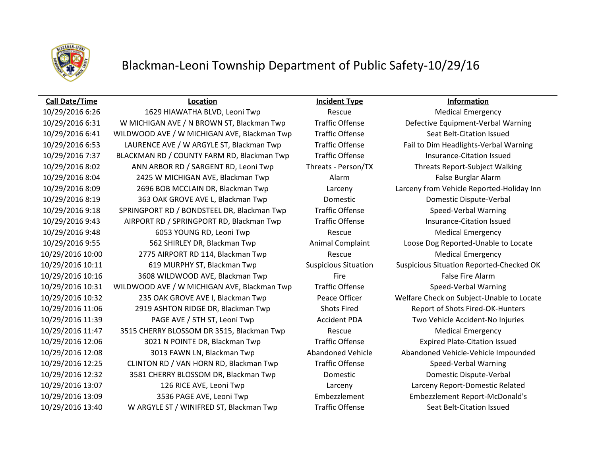

### **Call Date/Time Location Incident Type Information**

10/29/2016 6:26 1629 HIAWATHA BLVD, Leoni Twp Rescue Medical Emergency 10/29/2016 6:31 W MICHIGAN AVE / N BROWN ST, Blackman Twp Traffic Offense Defective Equipment-Verbal Warning 10/29/2016 6:41 WILDWOOD AVE / W MICHIGAN AVE, Blackman Twp Traffic Offense Seat Belt-Citation Issued 10/29/2016 6:53 LAURENCE AVE / W ARGYLE ST, Blackman Twp Traffic Offense Fail to Dim Headlights-Verbal Warning 10/29/2016 7:37 BLACKMAN RD / COUNTY FARM RD, Blackman Twp Traffic Offense Insurance-Citation Issued 10/29/2016 8:02 ANN ARBOR RD / SARGENT RD, Leoni Twp Threats - Person/TX Threats Report-Subject Walking 10/29/2016 8:04 2425 W MICHIGAN AVE, Blackman Twp Alarm False Burglar Alarm 10/29/2016 8:09 2696 BOB MCCLAIN DR, Blackman Twp Larceny Larceny from Vehicle Reported-Holiday Inn 10/29/2016 8:19 363 OAK GROVE AVE L, Blackman Twp Domestic Domestic Dispute-Verbal 10/29/2016 9:18 SPRINGPORT RD / BONDSTEEL DR, Blackman Twp Traffic Offense Speed-Verbal Warning 10/29/2016 9:43 AIRPORT RD / SPRINGPORT RD, Blackman Twp Traffic Offense Insurance-Citation Issued 10/29/2016 9:48 6053 YOUNG RD, Leoni Twp Rescue Medical Emergency 10/29/2016 9:55 562 SHIRLEY DR, Blackman Twp Animal Complaint Loose Dog Reported-Unable to Locate 10/29/2016 10:00 2775 AIRPORT RD 114, Blackman Twp Rescue Medical Emergency 10/29/2016 10:11 619 MURPHY ST, Blackman Twp Suspicious Situation Suspicious Situation Reported-Checked OK 10/29/2016 10:16 3608 WILDWOOD AVE, Blackman Twp Fire Fire Fire False Fire Alarm 10/29/2016 10:31 WILDWOOD AVE / W MICHIGAN AVE, Blackman Twp Traffic Offense Speed-Verbal Warning 10/29/2016 10:32 235 OAK GROVE AVE I, Blackman Twp Peace Officer Welfare Check on Subject-Unable to Locate 10/29/2016 11:06 2919 ASHTON RIDGE DR, Blackman Twp Shots Fired Report of Shots Fired-OK-Hunters 10/29/2016 11:39 PAGE AVE / 5TH ST, Leoni Twp Accident PDA Two Vehicle Accident-No Injuries 10/29/2016 11:47 3515 CHERRY BLOSSOM DR 3515, Blackman Twp Rescue Medical Emergency 10/29/2016 12:06 3021 N POINTE DR, Blackman Twp Traffic Offense Expired Plate-Citation Issued 10/29/2016 12:08 3013 FAWN LN, Blackman Twp Abandoned Vehicle Abandoned Vehicle-Vehicle Impounded 10/29/2016 12:25 CLINTON RD / VAN HORN RD, Blackman Twp Traffic Offense Speed-Verbal Warning 10/29/2016 12:32 3581 CHERRY BLOSSOM DR, Blackman Twp Domestic Domestic Dispute-Verbal 10/29/2016 13:07 126 RICE AVE, Leoni Twp Larceny Larceny Report-Domestic Related 10/29/2016 13:09 3536 PAGE AVE, Leoni Twp Embezzlement Embezzlement Report-McDonald's 10/29/2016 13:40 W ARGYLE ST / WINIFRED ST, Blackman Twp Traffic Offense Seat Belt-Citation Issued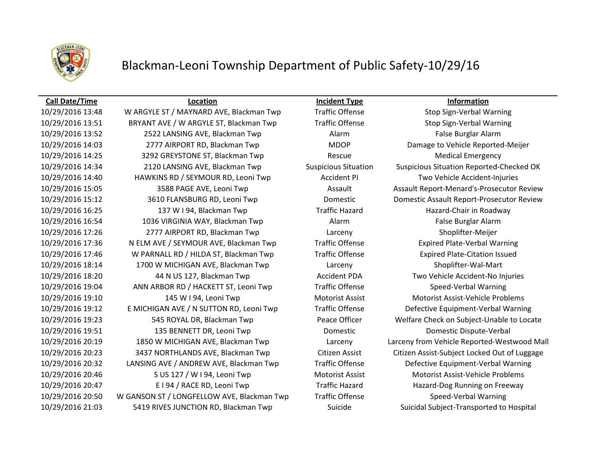

### **Call Date/Time Location Incident Type Information**

10/29/2016 13:48 W ARGYLE ST / MAYNARD AVE, Blackman Twp Traffic Offense Stop Sign-Verbal Warning 10/29/2016 13:51 BRYANT AVE / W ARGYLE ST, Blackman Twp Traffic Offense Stop Sign-Verbal Warning 10/29/2016 13:52 2522 LANSING AVE, Blackman Twp Alarm False Burglar Alarm 10/29/2016 14:03 2777 AIRPORT RD, Blackman Twp MDOP Damage to Vehicle Reported-Meijer 10/29/2016 14:25 3292 GREYSTONE ST, Blackman Twp Rescue Medical Emergency 10/29/2016 14:34 2120 LANSING AVE, Blackman Twp Suspicious Situation Suspicious Situation Reported-Checked OK 10/29/2016 14:40 HAWKINS RD / SEYMOUR RD, Leoni Twp Accident PI Two Vehicle Accident-Injuries 10/29/2016 16:25 137 W I 94, Blackman Twp Traffic Hazard Hazard-Chair in Roadway 10/29/2016 16:54 1036 VIRGINIA WAY, Blackman Twp Alarm False Burglar Alarm 10/29/2016 17:26 2777 AIRPORT RD, Blackman Twp Larceny Shoplifter-Meijer 10/29/2016 17:36 N ELM AVE / SEYMOUR AVE, Blackman Twp Traffic Offense Expired Plate-Verbal Warning 10/29/2016 17:46 W PARNALL RD / HILDA ST, Blackman Twp Traffic Offense Expired Plate-Citation Issued 10/29/2016 18:14 1700 W MICHIGAN AVE, Blackman Twp Larceny Shoplifter-Wal-Mart 10/29/2016 18:20 44 N US 127, Blackman Twp Accident PDA Two Vehicle Accident-No Injuries 10/29/2016 19:04 ANN ARBOR RD / HACKETT ST, Leoni Twp Traffic Offense Speed-Verbal Warning 10/29/2016 19:10 145 W I 94, Leoni Twp Motorist Assist Motorist Assist-Vehicle Problems 10/29/2016 19:12 E MICHIGAN AVE / N SUTTON RD, Leoni Twp Traffic Offense Defective Equipment-Verbal Warning 10/29/2016 19:23 545 ROYAL DR, Blackman Twp Peace Officer Welfare Check on Subject-Unable to Locate 10/29/2016 19:51 135 BENNETT DR, Leoni Twp Domestic Domestic Dispute-Verbal 10/29/2016 20:32 LANSING AVE / ANDREW AVE, Blackman Twp Traffic Offense Defective Equipment-Verbal Warning 10/29/2016 20:46 S US 127 / W I 94, Leoni Twp Motorist Assist Motorist Assist-Vehicle Problems 10/29/2016 20:47 E I 94 / RACE RD, Leoni Twp Traffic Hazard Hazard-Dog Running on Freeway 10/29/2016 20:50 W GANSON ST / LONGFELLOW AVE, Blackman Twp Traffic Offense Speed-Verbal Warning 10/29/2016 21:03 5419 RIVES JUNCTION RD, Blackman Twp Suicide Suicidal Subject-Transported to Hospital

10/29/2016 15:05 3588 PAGE AVE, Leoni Twp Assault Assault Assault Assault Report-Menard's-Prosecutor Review 10/29/2016 15:12 3610 FLANSBURG RD, Leoni Twp Domestic Domestic Assault Report-Prosecutor Review 10/29/2016 20:19 1850 W MICHIGAN AVE, Blackman Twp Larceny Larceny from Vehicle Reported-Westwood Mall 10/29/2016 20:23 3437 NORTHLANDS AVE, Blackman Twp Citizen Assist Citizen Assist-Subject Locked Out of Luggage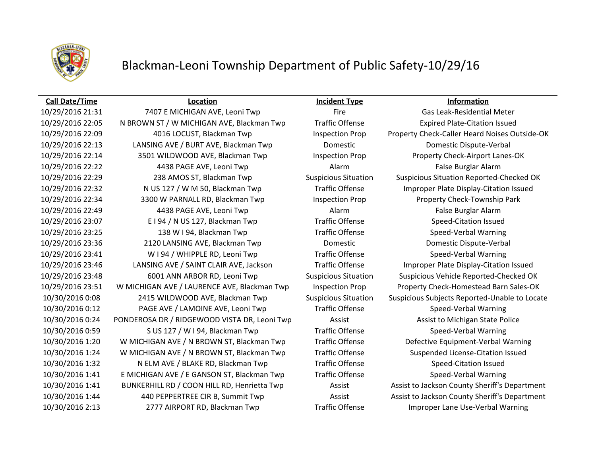

### **Call Date/Time Location Incident Type Information**

10/29/2016 21:31 7407 E MICHIGAN AVE, Leoni Twp Fire Fire Gas Leak-Residential Meter 10/29/2016 22:05 N BROWN ST / W MICHIGAN AVE, Blackman Twp Traffic Offense Expired Plate-Citation Issued 10/29/2016 22:09 4016 LOCUST, Blackman Twp Inspection Prop Property Check-Caller Heard Noises Outside-OK 10/29/2016 22:13 LANSING AVE / BURT AVE, Blackman Twp Domestic Domestic Dispute-Verbal 10/29/2016 22:14 3501 WILDWOOD AVE, Blackman Twp Inspection Prop Property Check-Airport Lanes-OK 10/29/2016 22:22 4438 PAGE AVE, Leoni Twp Alarm False Burglar Alarm 10/29/2016 22:29 238 AMOS ST, Blackman Twp Suspicious Situation Suspicious Situation Reported-Checked OK 10/29/2016 22:32 N US 127 / W M 50, Blackman Twp Traffic Offense Improper Plate Display-Citation Issued 10/29/2016 22:34 3300 W PARNALL RD, Blackman Twp Inspection Prop Property Check-Township Park 10/29/2016 22:49 4438 PAGE AVE, Leoni Twp Alarm False Burglar Alarm 10/29/2016 23:07 E I 94 / N US 127, Blackman Twp Traffic Offense Speed-Citation Issued 10/29/2016 23:25 138 W I 94, Blackman Twp Traffic Offense Speed-Verbal Warning 10/29/2016 23:36 2120 LANSING AVE, Blackman Twp Domestic Domestic Dispute-Verbal 10/29/2016 23:41 W I 94 / WHIPPLE RD, Leoni Twp Traffic Offense Speed-Verbal Warning 10/29/2016 23:46 LANSING AVE / SAINT CLAIR AVE, Jackson Traffic Offense Improper Plate Display-Citation Issued 10/29/2016 23:48 6001 ANN ARBOR RD, Leoni Twp Suspicious Situation Suspicious Vehicle Reported-Checked OK 10/29/2016 23:51 W MICHIGAN AVE / LAURENCE AVE, Blackman Twp Inspection Prop Property Check-Homestead Barn Sales-OK 10/30/2016 0:08 2415 WILDWOOD AVE, Blackman Twp Suspicious Situation Suspicious Subjects Reported-Unable to Locate 10/30/2016 0:12 PAGE AVE / LAMOINE AVE, Leoni Twp Traffic Offense Speed-Verbal Warning 10/30/2016 0:24 PONDEROSA DR / RIDGEWOOD VISTA DR, Leoni Twp Assist Assist Assist to Michigan State Police 10/30/2016 0:59 S US 127 / W I 94, Blackman Twp Traffic Offense Speed-Verbal Warning 10/30/2016 1:20 W MICHIGAN AVE / N BROWN ST, Blackman Twp Traffic Offense Defective Equipment-Verbal Warning 10/30/2016 1:24 W MICHIGAN AVE / N BROWN ST, Blackman Twp Traffic Offense Suspended License-Citation Issued 10/30/2016 1:32 N ELM AVE / BLAKE RD, Blackman Twp Traffic Offense Speed-Citation Issued 10/30/2016 1:41 E MICHIGAN AVE / E GANSON ST, Blackman Twp Traffic Offense Speed-Verbal Warning 10/30/2016 1:41 BUNKERHILL RD / COON HILL RD, Henrietta Twp Assist Assist to Jackson County Sheriff's Department 10/30/2016 1:44 440 PEPPERTREE CIR B, Summit Twp Assist Assist to Jackson County Sheriff's Department 10/30/2016 2:13 2777 AIRPORT RD, Blackman Twp Traffic Offense Improper Lane Use-Verbal Warning